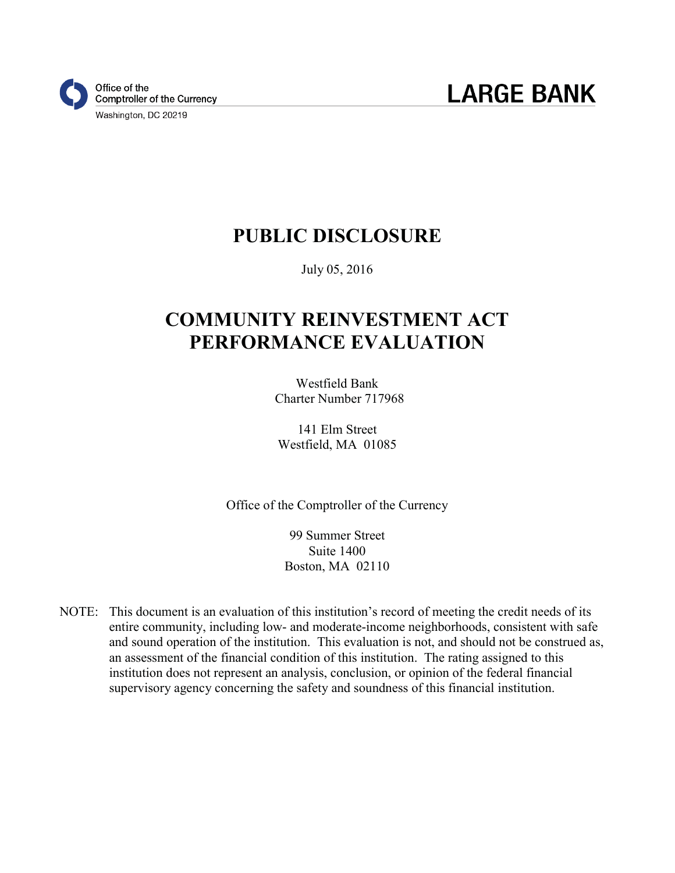

### **PUBLIC DISCLOSURE**

July 05, 2016

# **COMMUNITY REINVESTMENT ACT PERFORMANCE EVALUATION**

Westfield Bank Charter Number 717968

141 Elm Street Westfield, MA 01085

Office of the Comptroller of the Currency

99 Summer Street Suite 1400 Boston, MA 02110

NOTE: This document is an evaluation of this institution's record of meeting the credit needs of its entire community, including low- and moderate-income neighborhoods, consistent with safe and sound operation of the institution. This evaluation is not, and should not be construed as, an assessment of the financial condition of this institution. The rating assigned to this institution does not represent an analysis, conclusion, or opinion of the federal financial supervisory agency concerning the safety and soundness of this financial institution.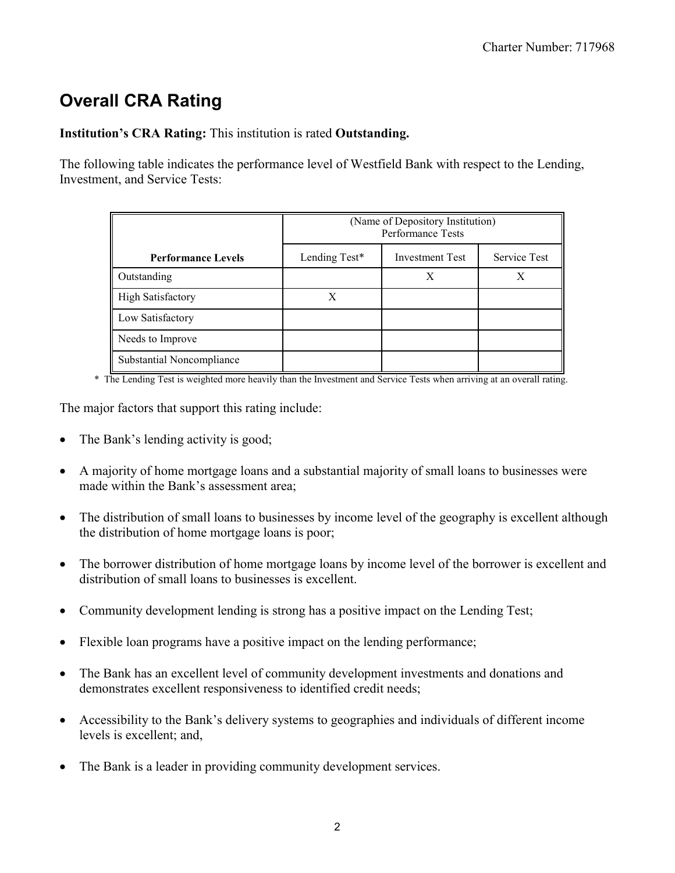# **Overall CRA Rating**

#### **Institution's CRA Rating:** This institution is rated **Outstanding.**

The following table indicates the performance level of Westfield Bank with respect to the Lending, Investment, and Service Tests:

|                           | (Name of Depository Institution)<br>Performance Tests |                        |                     |
|---------------------------|-------------------------------------------------------|------------------------|---------------------|
| <b>Performance Levels</b> | Lending Test*                                         | <b>Investment Test</b> | <b>Service Test</b> |
| Outstanding               |                                                       |                        | X                   |
| <b>High Satisfactory</b>  | X                                                     |                        |                     |
| Low Satisfactory          |                                                       |                        |                     |
| Needs to Improve          |                                                       |                        |                     |
| Substantial Noncompliance |                                                       |                        |                     |

\* The Lending Test is weighted more heavily than the Investment and Service Tests when arriving at an overall rating.

The major factors that support this rating include:

- The Bank's lending activity is good;
- A majority of home mortgage loans and a substantial majority of small loans to businesses were made within the Bank's assessment area;
- The distribution of small loans to businesses by income level of the geography is excellent although the distribution of home mortgage loans is poor;
- The borrower distribution of home mortgage loans by income level of the borrower is excellent and distribution of small loans to businesses is excellent.
- Community development lending is strong has a positive impact on the Lending Test;
- Flexible loan programs have a positive impact on the lending performance;
- The Bank has an excellent level of community development investments and donations and demonstrates excellent responsiveness to identified credit needs;
- Accessibility to the Bank's delivery systems to geographies and individuals of different income levels is excellent; and,
- The Bank is a leader in providing community development services.